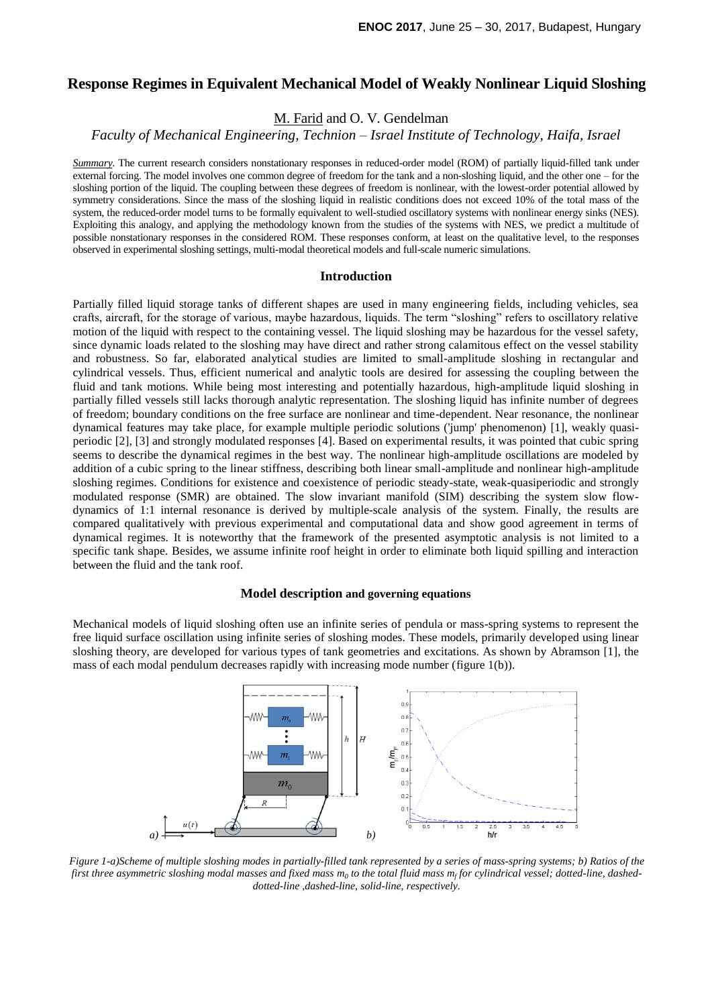# **Response Regimes in Equivalent Mechanical Model of Weakly Nonlinear Liquid Sloshing**

M. Farid and O. V. Gendelman

*Faculty of Mechanical Engineering, Technion – Israel Institute of Technology, Haifa, Israel*

*Summary*. The current research considers nonstationary responses in reduced-order model (ROM) of partially liquid-filled tank under external forcing. The model involves one common degree of freedom for the tank and a non-sloshing liquid, and the other one – for the sloshing portion of the liquid. The coupling between these degrees of freedom is nonlinear, with the lowest-order potential allowed by symmetry considerations. Since the mass of the sloshing liquid in realistic conditions does not exceed 10% of the total mass of the system, the reduced-order model turns to be formally equivalent to well-studied oscillatory systems with nonlinear energy sinks (NES). Exploiting this analogy, and applying the methodology known from the studies of the systems with NES, we predict a multitude of possible nonstationary responses in the considered ROM. These responses conform, at least on the qualitative level, to the responses observed in experimental sloshing settings, multi-modal theoretical models and full-scale numeric simulations.

### **Introduction**

Partially filled liquid storage tanks of different shapes are used in many engineering fields, including vehicles, sea crafts, aircraft, for the storage of various, maybe hazardous, liquids. The term "sloshing" refers to oscillatory relative motion of the liquid with respect to the containing vessel. The liquid sloshing may be hazardous for the vessel safety, since dynamic loads related to the sloshing may have direct and rather strong calamitous effect on the vessel stability and robustness. So far, elaborated analytical studies are limited to small-amplitude sloshing in rectangular and cylindrical vessels. Thus, efficient numerical and analytic tools are desired for assessing the coupling between the fluid and tank motions. While being most interesting and potentially hazardous, high-amplitude liquid sloshing in partially filled vessels still lacks thorough analytic representation. The sloshing liquid has infinite number of degrees of freedom; boundary conditions on the free surface are nonlinear and time-dependent. Near resonance, the nonlinear dynamical features may take place, for example multiple periodic solutions ('jump' phenomenon) [1], weakly quasiperiodic [2], [3] and strongly modulated responses [4]. Based on experimental results, it was pointed that cubic spring seems to describe the dynamical regimes in the best way. The nonlinear high-amplitude oscillations are modeled by addition of a cubic spring to the linear stiffness, describing both linear small-amplitude and nonlinear high-amplitude sloshing regimes. Conditions for existence and coexistence of periodic steady-state, weak-quasiperiodic and strongly modulated response (SMR) are obtained. The slow invariant manifold (SIM) describing the system slow flowdynamics of 1:1 internal resonance is derived by multiple-scale analysis of the system. Finally, the results are compared qualitatively with previous experimental and computational data and show good agreement in terms of dynamical regimes. It is noteworthy that the framework of the presented asymptotic analysis is not limited to a specific tank shape. Besides, we assume infinite roof height in order to eliminate both liquid spilling and interaction between the fluid and the tank roof.

## **Model description and governing equations**

Mechanical models of liquid sloshing often use an infinite series of pendula or mass-spring systems to represent the free liquid surface oscillation using infinite series of sloshing modes. These models, primarily developed using linear sloshing theory, are developed for various types of tank geometries and excitations. As shown by Abramson [1], the mass of each modal pendulum decreases rapidly with increasing mode number (figure 1(b)).



*Figure 1-a)Scheme of multiple sloshing modes in partially-filled tank represented by a series of mass-spring systems; b) Ratios of the first three asymmetric sloshing modal masses and fixed mass m<sup>0</sup> to the total fluid mass m<sup>f</sup> for cylindrical vessel; dotted-line, dasheddotted-line ,dashed-line, solid-line, respectively.*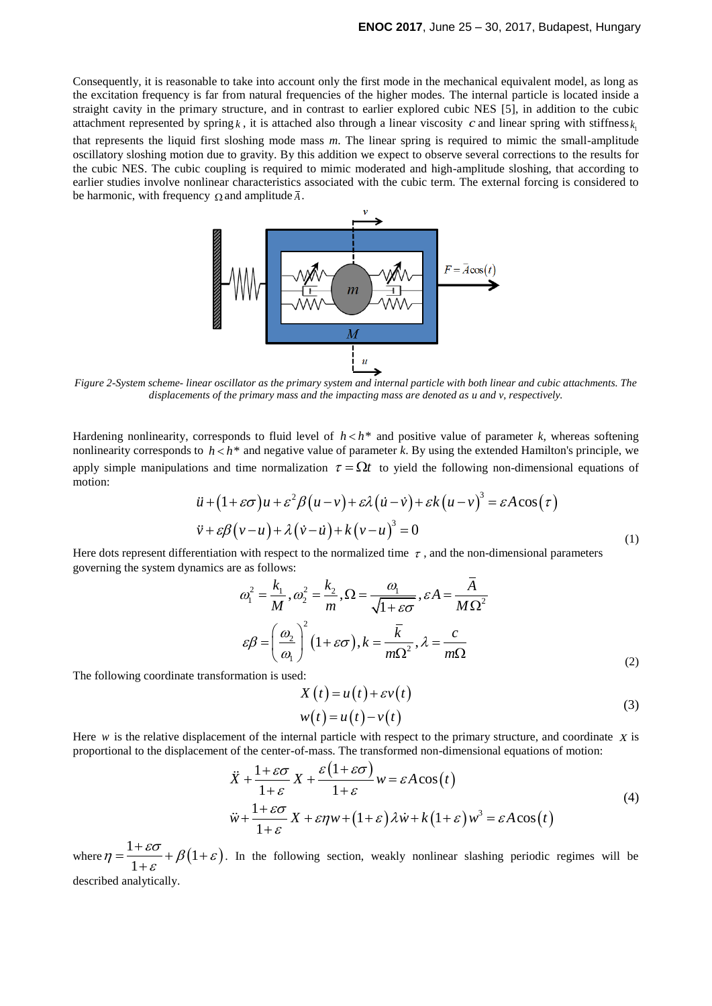Consequently, it is reasonable to take into account only the first mode in the mechanical equivalent model, as long as the excitation frequency is far from natural frequencies of the higher modes. The internal particle is located inside a straight cavity in the primary structure, and in contrast to earlier explored cubic NES [5], in addition to the cubic attachment represented by spring  $k$ , it is attached also through a linear viscosity c and linear spring with stiffness  $k_1$ 

that represents the liquid first sloshing mode mass *m*. The linear spring is required to mimic the small-amplitude oscillatory sloshing motion due to gravity. By this addition we expect to observe several corrections to the results for the cubic NES. The cubic coupling is required to mimic moderated and high-amplitude sloshing, that according to earlier studies involve nonlinear characteristics associated with the cubic term. The external forcing is considered to be harmonic, with frequency  $\Omega$  and amplitude  $\overline{A}$ .



*Figure 2-System scheme- linear oscillator as the primary system and internal particle with both linear and cubic attachments. The displacements of the primary mass and the impacting mass are denoted as u and v, respectively.*

Hardening nonlinearity, corresponds to fluid level of  $h < h^*$  and positive value of parameter  $k$ , whereas softening nonlinearity corresponds to  $h < h^*$  and negative value of parameter k. By using the extended Hamilton's principle, we apply simple manipulations and time normalization  $\tau = \Omega t$  to yield the following non-dimensional equations of motion:<br>  $\ddot{u} + (1 + \varepsilon \sigma)u + \varepsilon^2 \beta (u - v) + \varepsilon \lambda (u - v)^3 = \varepsilon A \cos(\tau)$ motion:

$$
\ddot{u} + (1 + \varepsilon \sigma)u + \varepsilon^2 \beta (u - v) + \varepsilon \lambda (u - v) + \varepsilon k (u - v)^3 = \varepsilon A \cos(\tau)
$$
  

$$
\ddot{v} + \varepsilon \beta (v - u) + \lambda (v - u) + k (v - u)^3 = 0
$$
 (1)

Here dots represent differentiation with respect to the normalized time  $\tau$ , and the non-dimensional parameters governing the system dynamics are as follows:

$$
\omega_1^2 = \frac{k_1}{M}, \omega_2^2 = \frac{k_2}{m}, \Omega = \frac{\omega_1}{\sqrt{1 + \varepsilon \sigma}}, \varepsilon A = \frac{\overline{A}}{M \Omega^2}
$$
  

$$
\varepsilon \beta = \left(\frac{\omega_2}{\omega_1}\right)^2 (1 + \varepsilon \sigma), k = \frac{\overline{k}}{m \Omega^2}, \lambda = \frac{c}{m \Omega}
$$
 (2)

The following coordinate transformation is used:

$$
X(t) = u(t) + \varepsilon v(t)
$$
  
\n
$$
w(t) = u(t) - v(t)
$$
\n(3)

Here  $w$  is the relative displacement of the internal particle with respect to the primary structure, and coordinate  $\chi$  is e internal particle with resp<br>nter-of-mass. The transform<br> $\frac{\varepsilon \sigma}{\sigma} X + \frac{\varepsilon (1 + \varepsilon \sigma)}{w}$ 

proportional to the displacement of the center-of-mass. The transformed non-dimensional equations of motion:  
\n
$$
\ddot{X} + \frac{1+\varepsilon\sigma}{1+\varepsilon}X + \frac{\varepsilon(1+\varepsilon\sigma)}{1+\varepsilon}w = \varepsilon A \cos(t)
$$
\n
$$
\ddot{W} + \frac{1+\varepsilon\sigma}{1+\varepsilon}X + \varepsilon\eta w + (1+\varepsilon)\lambda \dot{w} + k(1+\varepsilon)w^3 = \varepsilon A \cos(t)
$$
\n(4)

where  $\eta = \frac{1 + 80}{1} + \beta(1 + \varepsilon)$  $\frac{1+\varepsilon\sigma}{1+\varepsilon} + \beta(1$ 1  $\eta = \frac{1+\varepsilon\sigma}{1+\varepsilon} + \beta(1+\varepsilon).$  $=\frac{1+\varepsilon\sigma}{1}+\beta(1+\varepsilon)$  $\frac{1}{1+\varepsilon}$  +  $\beta(1+\varepsilon)$ . In the following section, weakly nonlinear slashing periodic regimes will be described analytically.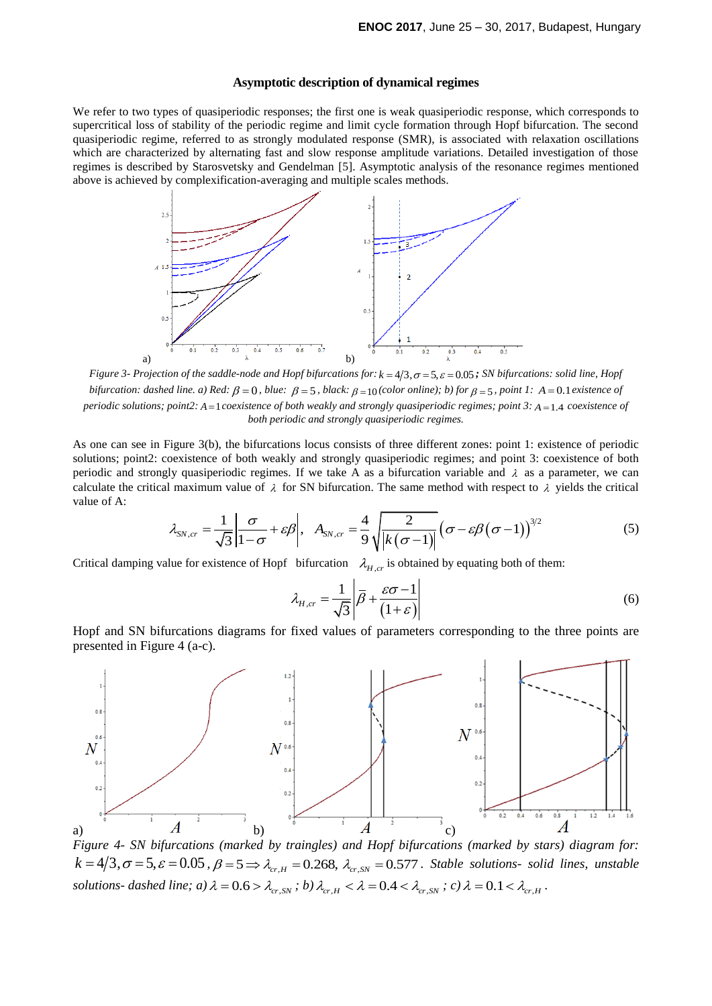## **Asymptotic description of dynamical regimes**

We refer to two types of quasiperiodic responses; the first one is weak quasiperiodic response, which corresponds to supercritical loss of stability of the periodic regime and limit cycle formation through Hopf bifurcation. The second quasiperiodic regime, referred to as strongly modulated response (SMR), is associated with relaxation oscillations which are characterized by alternating fast and slow response amplitude variations. Detailed investigation of those regimes is described by Starosvetsky and Gendelman [5]. Asymptotic analysis of the resonance regimes mentioned above is achieved by complexification-averaging and multiple scales methods.



*Figure 3- Projection of the saddle-node and Hopf bifurcations for:*  $k = 4/3, \sigma = 5, \varepsilon = 0.05$ ; *SN bifurcations: solid line, Hopf bifurcation: dashed line. a)* Red:  $\beta = 0$ *, blue:*  $\beta = 5$ *, black:*  $\beta = 10$ (color online); b) for  $\beta = 5$ *, point 1:*  $A = 0.1$  existence of *periodic solutions; point2:*  $A = 1$  *coexistence of both weakly and strongly quasiperiodic regimes; point 3:*  $A = 1.4$  *coexistence of both periodic and strongly quasiperiodic regimes.*

As one can see in Figure 3(b), the bifurcations locus consists of three different zones: point 1: existence of periodic solutions; point2: coexistence of both weakly and strongly quasiperiodic regimes; and point 3: coexistence of both periodic and strongly quasiperiodic regimes. If we take A as a bifurcation variable and  $\lambda$  as a parameter, we can periodic and strongly quasiperiodic regimes. It we take A as a bifurcation variable and  $\lambda$  as a parameter, we can<br>calculate the critical maximum value of  $\lambda$  for SN bifurcation. The same method with respect to  $\lambda$  yie value of A:

$$
\lambda_{SN,cr} = \frac{1}{\sqrt{3}} \left| \frac{\sigma}{1-\sigma} + \varepsilon \beta \right|, \quad A_{SN,cr} = \frac{4}{9} \sqrt{\frac{2}{\left| k(\sigma-1) \right|}} \left( \sigma - \varepsilon \beta (\sigma-1) \right)^{3/2}
$$
(5)

Critical damping value for existence of Hopf bifurcation  $\lambda_{H,cr}$  is obtained by equating both of them:

$$
\lambda_{H,cr} = \frac{1}{\sqrt{3}} \left| \overline{\beta} + \frac{\varepsilon \sigma - 1}{(1 + \varepsilon)} \right| \tag{6}
$$

Hopf and SN bifurcations diagrams for fixed values of parameters corresponding to the three points are presented in Figure 4 (a-c).



*Figure 4- SN bifurcations (marked by traingles) and Hopf bifurcations (marked by stars) diagram for: k k s k s k k k ifurcations* (*marked by traingles*) and *Hopf bifurcations* (*marked by stars*) diagram for:<br> $k = 4/3, \sigma = 5, \varepsilon = 0.05$ ,  $\beta = 5 \Rightarrow \lambda_{cr,H} = 0.268$ ,  $\lambda_{cr,SN} = 0.577$ . Stable s *solutions- dashed line; a)*  $\lambda = 0.6 > \lambda_{cr,SN}$ ; *b)*  $\lambda_{cr,H} < \lambda = 0.4 < \lambda_{cr,SN}$ ; *c)*  $\lambda = 0.1 < \lambda_{cr,H}$ .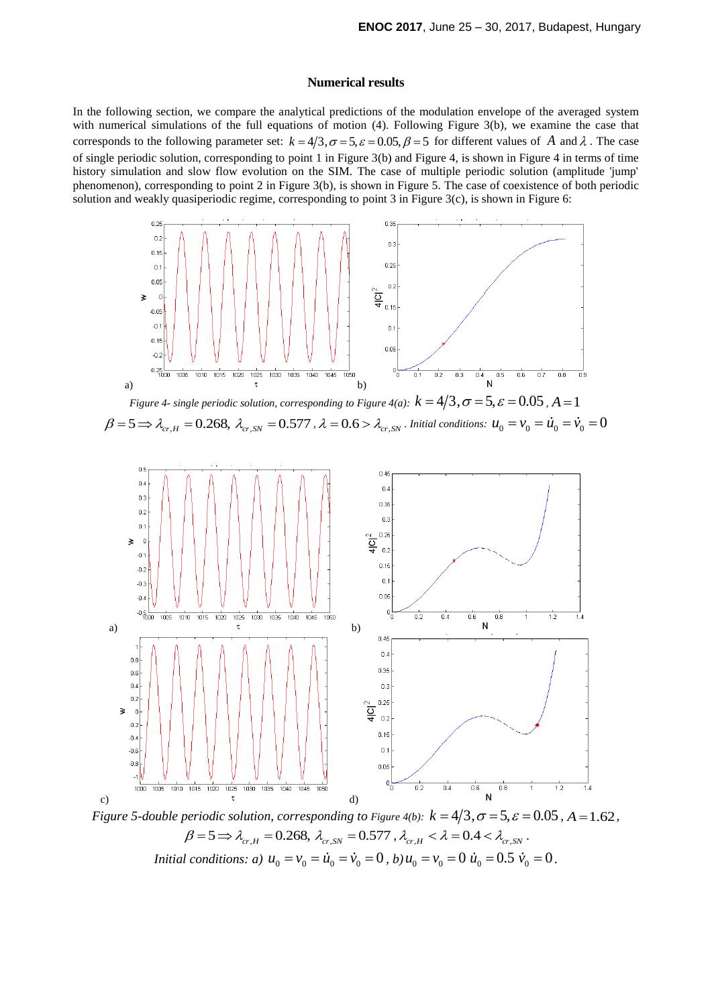#### **Numerical results**

In the following section, we compare the analytical predictions of the modulation envelope of the averaged system with numerical simulations of the full equations of motion (4). Following Figure 3(b), we examine the case that with numerical simulations of the fun equations of motion (4). Following Figure 5(b), we examine the case that corresponds to the following parameter set:  $k = 4/3, \sigma = 5, \varepsilon = 0.05, \beta = 5$  for different values of A and  $\lambda$ of single periodic solution, corresponding to point 1 in Figure 3(b) and Figure 4, is shown in [Figure 4](#page-3-0) in terms of time history simulation and slow flow evolution on the SIM. The case of multiple periodic solution (amplitude 'jump' phenomenon), corresponding to point 2 in Figure 3(b), is shown in [Figure 5](#page-3-1). The case of coexistence of both periodic solution and weakly quasiperiodic regime, corresponding to point 3 in Figure 3(c), is shown in Figure 6:



<span id="page-3-0"></span>*Figure 4- single periodic solution, corresponding to Figure 4(a):*  $k = 4/3$ ,  $\sigma = 5$ ,  $\varepsilon = 0.05$ ,  $A = 1$ <br> $\beta = 5 \Rightarrow \lambda_{cr,H} = 0.268$ ,  $\lambda_{cr,SN} = 0.577$ ,  $\lambda = 0.6 > \lambda_{cr,SN}$ . *Initial conditions:*  $u_0 = v_0 = \dot{u}_0 = \dot{v}_0 = 0$ 



<span id="page-3-1"></span> $\alpha$  periodic solution, corresponding to Figure 4(b):  $k = 4/3, \sigma = 5, \varepsilon = \beta = 5 \Rightarrow \lambda_{cr,H} = 0.268, \ \lambda_{cr,SN} = 0.577$  ,  $\lambda_{cr,H} < \lambda = 0.4 < \lambda_{cr,SN}$ . *Initial conditions: a)*  $u_0 = v_0 = \dot{u}_0 = \dot{v}_0 = 0$ , *b)*  $u_0 = v_0 = 0$   $\dot{u}_0 = 0.5$   $\dot{v}_0 = 0$ .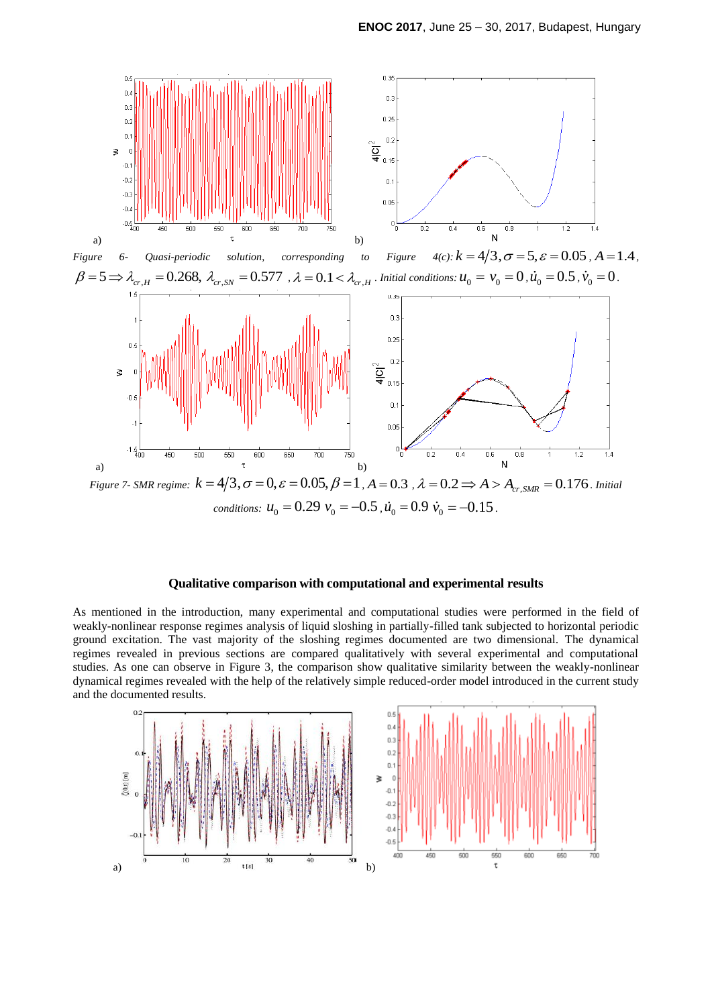

## **Qualitative comparison with computational and experimental results**

As mentioned in the introduction, many experimental and computational studies were performed in the field of weakly-nonlinear response regimes analysis of liquid sloshing in partially-filled tank subjected to horizontal periodic ground excitation. The vast majority of the sloshing regimes documented are two dimensional. The dynamical regimes revealed in previous sections are compared qualitatively with several experimental and computational studies. As one can observe in Figure 3, the comparison show qualitative similarity between the weakly-nonlinear dynamical regimes revealed with the help of the relatively simple reduced-order model introduced in the current study and the documented results.